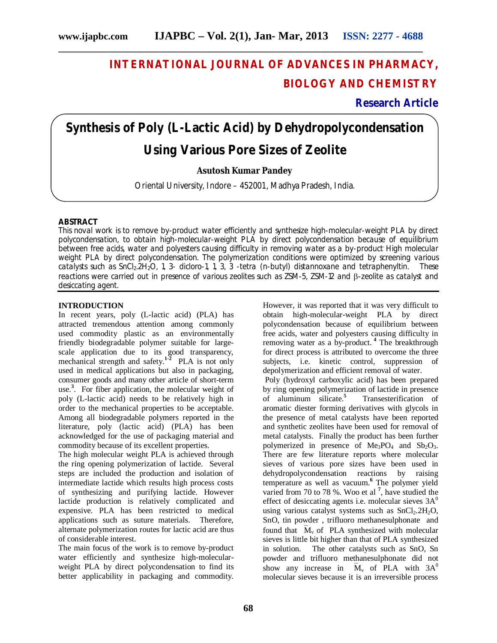## **INTERNATIONAL JOURNAL OF ADVANCES IN PHARMACY, BIOLOGY AND CHEMISTRY**

### **Research Article**

# **Synthesis of Poly (L-Lactic Acid) by Dehydropolycondensation Using Various Pore Sizes of Zeolite**

#### **Asutosh Kumar Pandey**

Oriental University, Indore – 452001, Madhya Pradesh, India.

#### **ABSTRACT**

This noval work is to remove by-product water efficiently and synthesize high-molecular-weight PLA by direct polycondensation, to obtain high-molecular-weight PLA by direct polycondensation because of equilibrium between free acids, water and polyesters causing difficulty in removing water as a by-product High molecular weight PLA by direct polycondensation. The polymerization conditions were optimized by screening various catalysts such as SnCl<sub>2</sub>.2H<sub>2</sub>O, 1, 3- dicloro-1, 1, 3, 3 -tetra (n-butyl) distannoxane and tetraphenyltin. These reactions were carried out in presence of various zeolites such as ZSM-5, ZSM-12 and  $\beta$ -zeolite as catalyst and desiccating agent.

#### **INTRODUCTION**

In recent years, poly (L-lactic acid) (PLA) has attracted tremendous attention among commonly used commodity plastic as an environmentally friendly biodegradable polymer suitable for largescale application due to its good transparency, mechanical strength and safety. **1-2** PLA is not only used in medical applications but also in packaging, consumer goods and many other article of short-term use. **3** . For fiber application, the molecular weight of poly (L-lactic acid) needs to be relatively high in order to the mechanical properties to be acceptable. Among all biodegradable polymers reported in the literature, poly (lactic acid) (PLA) has been acknowledged for the use of packaging material and commodity because of its excellent properties.

The high molecular weight PLA is achieved through the ring opening polymerization of lactide. Several steps are included the production and isolation of intermediate lactide which results high process costs of synthesizing and purifying lactide. However lactide production is relatively complicated and expensive. PLA has been restricted to medical applications such as suture materials. Therefore, alternate polymerization routes for lactic acid are thus of considerable interest.

The main focus of the work is to remove by-product water efficiently and synthesize high-molecularweight PLA by direct polycondensation to find its better applicability in packaging and commodity.

However, it was reported that it was very difficult to obtain high-molecular-weight PLA by direct polycondensation because of equilibrium between free acids, water and polyesters causing difficulty in removing water as a by-product. **<sup>4</sup>** The breakthrough for direct process is attributed to overcome the three subjects, i.e. kinetic control, suppression of depolymerization and efficient removal of water. Poly (hydroxyl carboxylic acid) has been prepared by ring opening polymerization of lactide in presence of aluminum silicate. **5** Transesterification of aromatic diester forming derivatives with glycols in the presence of metal catalysts have been reported and synthetic zeolites have been used for removal of metal catalysts. Finally the product has been further polymerized in presence of  $Me<sub>3</sub>PO<sub>4</sub>$  and  $Sb<sub>2</sub>O<sub>3</sub>$ . There are few literature reports where molecular sieves of various pore sizes have been used in dehydropolycondensation reactions by raising temperature as well as vacuum. **<sup>6</sup>** The polymer yield varied from 70 to 78 %. Woo et al **<sup>7</sup>** , have studied the effect of desiccating agents i.e. molecular sieves  $3A<sup>0</sup>$ using various catalyst systems such as  $SnCl<sub>2</sub>$ .2H<sub>2</sub>O,

SnO, tin powder , trifluoro methanesulphonate and found that  $\overline{M}_{v}$  of PLA synthesized with molecular sieves is little bit higher than that of PLA synthesized in solution. The other catalysts such as SnO, Sn powder and trifluoro methanesulphonate did not show any increase in  $\overline{M}_{v}$  of PLA with 3A<sup>0</sup> molecular sieves because it is an irreversible process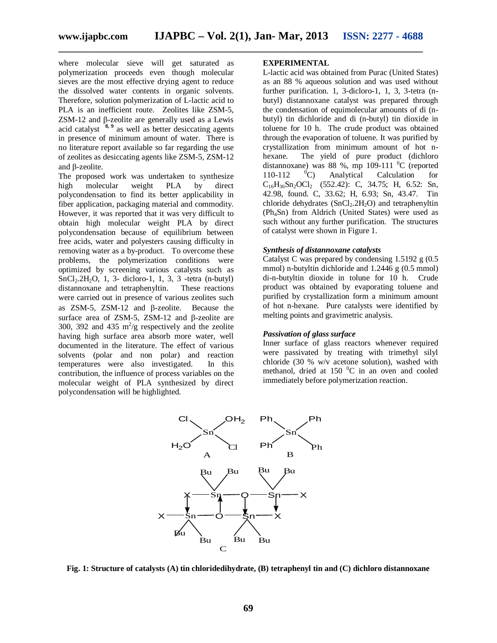where molecular sieve will get saturated as polymerization proceeds even though molecular sieves are the most effective drying agent to reduce the dissolved water contents in organic solvents. Therefore, solution polymerization of L-lactic acid to PLA is an inefficient route. Zeolites like ZSM-5,  $ZSM-12$  and  $\beta$ -zeolite are generally used as a Lewis acid catalyst **8, 9** as well as better desiccating agents in presence of minimum amount of water. There is no literature report available so far regarding the use of zeolites as desiccating agents like ZSM-5, ZSM-12 and  $\beta$ -zeolite.

The proposed work was undertaken to synthesize high molecular weight PLA by direct polycondensation to find its better applicability in fiber application, packaging material and commodity. However, it was reported that it was very difficult to obtain high molecular weight PLA by direct polycondensation because of equilibrium between free acids, water and polyesters causing difficulty in removing water as a by-product. To overcome these problems, the polymerization conditions were optimized by screening various catalysts such as  $SnCl<sub>2</sub>.2H<sub>2</sub>O$ , 1, 3- dicloro-1, 1, 3, 3-tetra (n-butyl) distannoxane and tetraphenyltin. These reactions distannoxane and tetraphenyltin. were carried out in presence of various zeolites such as  $ZSM-5$ ,  $ZSM-12$  and  $\beta$ -zeolite. Because the surface area of ZSM-5, ZSM-12 and  $\beta$ -zeolite are 300, 392 and 435  $m^2/g$  respectively and the zeolite having high surface area absorb more water, well documented in the literature. The effect of various solvents (polar and non polar) and reaction temperatures were also investigated. In this contribution, the influence of process variables on the molecular weight of PLA synthesized by direct polycondensation will be highlighted.

#### **EXPERIMENTAL**

L-lactic acid was obtained from Purac (United States) as an 88 % aqueous solution and was used without further purification. 1, 3-dicloro-1, 1, 3, 3-tetra (nbutyl) distannoxane catalyst was prepared through the condensation of equimolecular amounts of di (nbutyl) tin dichloride and di (n-butyl) tin dioxide in toluene for 10 h. The crude product was obtained through the evaporation of toluene. It was purified by crystallization from minimum amount of hot nhexane. The yield of pure product (dichloro distannoxane) was 88 %, mp 109-111  $^{0}C$  (reported 110-112  $^{0}C$ ) Analytical Calculation for 110-112  $^{\circ}$ C) Analytical Calculation for  $C_{16}H_{36}Sn_2OCl_2$  (552.42): C, 34.75; H, 6.52: Sn, 42.98, found. C, 33.62; H, 6.93; Sn, 43.47. Tin chloride dehydrates  $(SnCl<sub>2</sub>, 2H<sub>2</sub>O)$  and tetraphenyltin (Ph4Sn) from Aldrich (United States) were used as such without any further purification. The structures of catalyst were shown in Figure 1.

#### *Synthesis of distannoxane catalysts*

Catalyst C was prepared by condensing 1.5192 g (0.5 mmol) n-butyltin dichloride and 1.2446 g (0.5 mmol) di-n-butyltin dioxide in tolune for 10 h. Crude product was obtained by evaporating toluene and purified by crystallization form a minimum amount of hot n-hexane. Pure catalysts were identified by melting points and gravimetric analysis.

#### *Passivation of glass surface*

Inner surface of glass reactors whenever required were passivated by treating with trimethyl silyl chloride (30 % w/v acetone solution), washed with methanol, dried at 150  $^{0}$ C in an oven and cooled immediately before polymerization reaction.



**Fig. 1: Structure of catalysts (A) tin chloridedihydrate, (B) tetraphenyl tin and (C) dichloro distannoxane**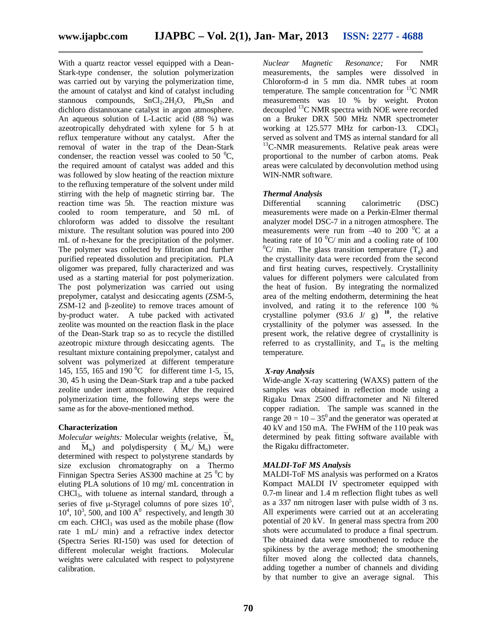With a quartz reactor vessel equipped with a Dean-Stark-type condenser, the solution polymerization was carried out by varying the polymerization time, the amount of catalyst and kind of catalyst including stannous compounds,  $SnCl<sub>2</sub>·2H<sub>2</sub>O$ ,  $Ph<sub>4</sub>Sn$  and dichloro distannoxane catalyst in argon atmosphere. An aqueous solution of L-Lactic acid (88 %) was azeotropically dehydrated with xylene for 5 h at reflux temperature without any catalyst. After the removal of water in the trap of the Dean-Stark condenser, the reaction vessel was cooled to 50  $^{\circ}$ C, the required amount of catalyst was added and this was followed by slow heating of the reaction mixture to the refluxing temperature of the solvent under mild stirring with the help of magnetic stirring bar. The reaction time was 5h. The reaction mixture was cooled to room temperature, and 50 mL of chloroform was added to dissolve the resultant mixture. The resultant solution was poured into 200 mL of n-hexane for the precipitation of the polymer. The polymer was collected by filtration and further purified repeated dissolution and precipitation. PLA oligomer was prepared, fully characterized and was used as a starting material for post polymerization. The post polymerization was carried out using prepolymer, catalyst and desiccating agents (ZSM-5, ZSM-12 and β-zeolite) to remove traces amount of by-product water. A tube packed with activated zeolite was mounted on the reaction flask in the place of the Dean-Stark trap so as to recycle the distilled azeotropic mixture through desiccating agents. The resultant mixture containing prepolymer, catalyst and solvent was polymerized at different temperature 145, 155, 165 and 190  $^{\circ}$ C for different time 1-5, 15, 30, 45 h using the Dean-Stark trap and a tube packed zeolite under inert atmosphere. After the required polymerization time, the following steps were the same as for the above-mentioned method.

#### **Characterization**

*Molecular weights:* Molecular weights (relative,  $\overline{M}_n$ and  $M_w$ ) and polydispersity ( $\overline{M}_w / \overline{M}_n$ ) were determined with respect to polystyrene standards by size exclusion chromatography on a Thermo Finnigan Spectra Series AS300 machine at 25 $\mathrm{^{0}C}$  by eluting PLA solutions of 10 mg/ mL concentration in CHCl3, with toluene as internal standard, through a series of five  $\mu$ -Styragel columns of pore sizes  $10^5$ ,  $10^4$ ,  $10^3$ , 500, and  $100 \text{ A}^0$  respectively, and length 30 cm each. CHCl<sub>3</sub> was used as the mobile phase (flow rate 1 mL/ min) and a refractive index detector (Spectra Series RI-150) was used for detection of different molecular weight fractions. Molecular weights were calculated with respect to polystyrene calibration.

*Nuclear Magnetic Resonance;* For NMR measurements, the samples were dissolved in Chloroform-d in 5 mm dia. NMR tubes at room temperature. The sample concentration for  ${}^{13}C$  NMR measurements was 10 % by weight. Proton decoupled <sup>13</sup>C NMR spectra with NOE were recorded on a Bruker DRX 500 MHz NMR spectrometer working at  $125.577$  MHz for carbon-13. CDCl<sub>3</sub> served as solvent and TMS as internal standard for all  $13$ C-NMR measurements. Relative peak areas were proportional to the number of carbon atoms. Peak areas were calculated by deconvolution method using WIN-NMR software.

#### *Thermal Analysis*

Differential scanning calorimetric (DSC) measurements were made on a Perkin-Elmer thermal analyzer model DSC-7 in a nitrogen atmosphere. The measurements were run from  $-40$  to 200  $\mathrm{^0C}$  at a heating rate of 10  $^{\circ}$ C/ min and a cooling rate of 100  ${}^{0}C/$  min. The glass transition temperature (T<sub>g</sub>) and the crystallinity data were recorded from the second and first heating curves, respectively. Crystallinity values for different polymers were calculated from the heat of fusion. By integrating the normalized area of the melting endotherm, determining the heat involved, and rating it to the reference 100 % crystalline polymer  $(93.6 \text{ J} / \text{ g})$  <sup>10</sup>, the relative crystallinity of the polymer was assessed. In the present work, the relative degree of crystallinity is referred to as crystallinity, and  $T_m$  is the melting temperature.

#### *X-ray Analysis*

Wide-angle X-ray scattering (WAXS) pattern of the samples was obtained in reflection mode using a Rigaku Dmax 2500 diffractometer and Ni filtered copper radiation. The sample was scanned in the range  $2\theta = 10 - 35^{\circ}$  and the generator was operated at 40 kV and 150 mA. The FWHM of the 110 peak was determined by peak fitting software available with the Rigaku diffractometer.

#### *MALDI-ToF MS Analysis*

MALDI-ToF MS analysis was performed on a Kratos Kompact MALDI IV spectrometer equipped with 0.7-m linear and 1.4 m reflection flight tubes as well as a 337 nm nitrogen laser with pulse width of 3 ns. All experiments were carried out at an accelerating potential of 20 kV. In general mass spectra from 200 shots were accumulated to produce a final spectrum. The obtained data were smoothened to reduce the spikiness by the average method; the smoothening filter moved along the collected data channels, adding together a number of channels and dividing by that number to give an average signal. This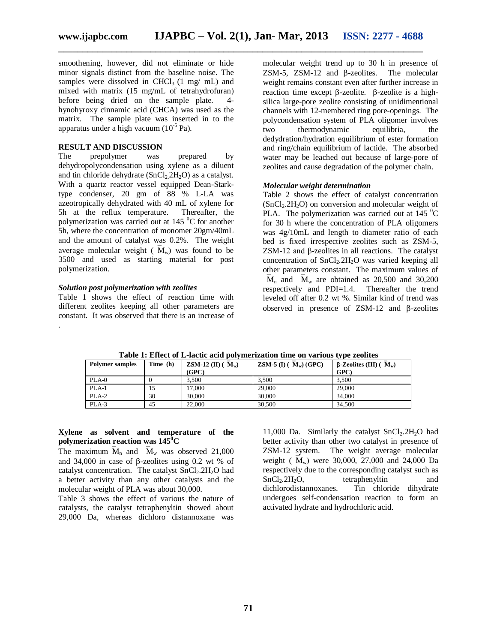smoothening, however, did not eliminate or hide minor signals distinct from the baseline noise. The samples were dissolved in CHCl<sub>3</sub>  $(1 \text{ mg/mL})$  and mixed with matrix (15 mg/mL of tetrahydrofuran) before being dried on the sample plate. 4 hynohyroxy cinnamic acid (CHCA) was used as the matrix. The sample plate was inserted in to the apparatus under a high vacuum (10<sup>-5</sup> Pa).

#### **RESULT AND DISCUSSION**

The prepolymer was prepared by dehydropolycondensation using xylene as a diluent and tin chloride dehydrate  $(SnCl<sub>2</sub>, 2H<sub>2</sub>O)$  as a catalyst. With a quartz reactor vessel equipped Dean-Starktype condenser, 20 gm of 88 % L-LA was azeotropically dehydrated with 40 mL of xylene for 5h at the reflux temperature. Thereafter, the polymerization was carried out at  $145\text{ °C}$  for another 5h, where the concentration of monomer 20gm/40mL and the amount of catalyst was 0.2%. The weight average molecular weight ( $\overline{M}_w$ ) was found to be 3500 and used as starting material for post polymerization.

#### *Solution post polymerization with zeolites*

Table 1 shows the effect of reaction time with different zeolites keeping all other parameters are constant. It was observed that there is an increase of .

molecular weight trend up to 30 h in presence of  $ZSM-5$ ,  $ZSM-12$  and  $\beta$ -zeolites. The molecular weight remains constant even after further increase in reaction time except  $\beta$ -zeolite.  $\beta$ -zeolite is a highsilica large-pore zeolite consisting of unidimentional channels with 12-membered ring pore-openings. The polycondensation system of PLA oligomer involves<br>two thermodynamic equilibria, the two thermodynamic equilibria, the dedydration/hydration equilibrium of ester formation and ring/chain equilibrium of lactide. The absorbed water may be leached out because of large-pore of zeolites and cause degradation of the polymer chain.

#### *Molecular weight determination*

Table 2 shows the effect of catalyst concentration  $(SnCl<sub>2</sub>.2H<sub>2</sub>O)$  on conversion and molecular weight of PLA. The polymerization was carried out at  $145\text{ °C}$ for 30 h where the concentration of PLA oligomers was 4g/10mL and length to diameter ratio of each bed is fixed irrespective zeolites such as ZSM-5, ZSM-12 and β-zeolites in all reactions. The catalyst concentration of  $SnCl<sub>2</sub>.2H<sub>2</sub>O$  was varied keeping all other parameters constant. The maximum values of  $\overline{M}_n$  and  $\overline{M}_w$  are obtained as 20,500 and 30,200 respectively and PDI=1.4. Thereafter the trend leveled off after 0.2 wt %. Similar kind of trend was observed in presence of  $ZSM-12$  and  $\beta$ -zeolites

| <b>Polymer samples</b> | Time (h) | <b>ZSM-12</b> (II) ( $M_w$ )<br>(GPC) | <b>ZSM-5</b> (I) $(M_w)$ (GPC) | . .<br>$\beta$ -Zeolites (III) ( $M_w$ )<br>GPC |
|------------------------|----------|---------------------------------------|--------------------------------|-------------------------------------------------|
| $PLA-0$                |          | 3.500                                 | 3.500                          | 3.500                                           |
| PLA-1                  | 15       | 17.000                                | 29,000                         | 29,000                                          |
| PLA-2                  | 30       | 30,000                                | 30,000                         | 34,000                                          |
| $PLA-3$                | 45       | 22,000                                | 30,500                         | 34,500                                          |

**Table 1: Effect of L-lactic acid polymerization time on various type zeolites**

**\_\_\_\_\_\_\_\_\_\_\_\_\_\_\_\_\_\_\_\_\_\_\_\_\_\_\_\_\_\_\_\_\_\_\_\_\_\_\_\_\_\_\_\_\_\_\_\_\_\_\_\_\_\_\_\_\_\_\_\_\_\_\_\_\_\_\_\_\_\_\_\_\_\_\_**

#### **Xylene as solvent and temperature of the polymerization reaction was 145<sup>0</sup>C**

The maximum  $\overline{M}_n$  and  $\overline{M}_w$  was observed 21,000 and 34,000 in case of  $\beta$ -zeolites using 0.2 wt % of catalyst concentration. The catalyst  $SnCl<sub>2</sub>$ .2H<sub>2</sub>O had a better activity than any other catalysts and the molecular weight of PLA was about 30,000.

Table 3 shows the effect of various the nature of catalysts, the catalyst tetraphenyltin showed about 29,000 Da, whereas dichloro distannoxane was 11,000 Da. Similarly the catalyst  $SnCl<sub>2</sub>·2H<sub>2</sub>O$  had better activity than other two catalyst in presence of ZSM-12 system. The weight average molecular weight ( $\bar{M}_{w}$ ) were 30,000, 27,000 and 24,000 Da respectively due to the corresponding catalyst such as<br>SnCl<sub>2</sub>.2H<sub>2</sub>O, tetraphenyltin and SnCl<sub>2</sub>.2H<sub>2</sub>O, tetraphenyltin and<br>dichlorodistannoxanes. Tin chloride dihydrate Tin chloride dihydrate undergoes self-condensation reaction to form an activated hydrate and hydrochloric acid.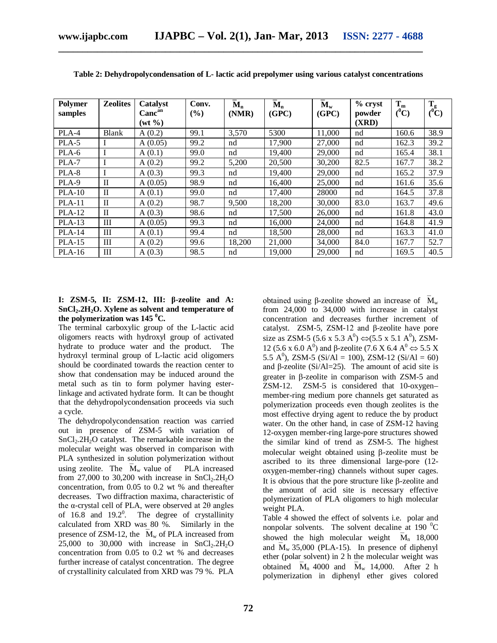| <b>Polymer</b><br>samples | <b>Zeolites</b> | Catalyst<br>Canc <sup>an</sup> | Conv.<br>(%) | $M_n$<br>(NMR) | $M_n$<br>(GPC) | $M_{w}$<br>(GPC) | $%$ cryst<br>powder | $T_m$<br>$(^0C)$ | $T_g$<br>$(\mathbf{C})$ |
|---------------------------|-----------------|--------------------------------|--------------|----------------|----------------|------------------|---------------------|------------------|-------------------------|
|                           |                 | $(wt \, \%)$                   |              |                |                |                  | (XRD)               |                  |                         |
| PLA-4                     | <b>Blank</b>    | A(0.2)                         | 99.1         | 3,570          | 5300           | 11,000           | nd                  | 160.6            | 38.9                    |
| PLA-5                     |                 | A(0.05)                        | 99.2         | nd             | 17,900         | 27,000           | nd                  | 162.3            | 39.2                    |
| PLA-6                     | I               | A(0.1)                         | 99.0         | nd             | 19,400         | 29,000           | nd                  | 165.4            | 38.1                    |
| PLA-7                     | I               | A(0.2)                         | 99.2         | 5,200          | 20,500         | 30,200           | 82.5                | 167.7            | 38.2                    |
| PLA-8                     |                 | A(0.3)                         | 99.3         | nd             | 19,400         | 29,000           | nd                  | 165.2            | 37.9                    |
| PLA-9                     | $\mathbf{I}$    | A(0.05)                        | 98.9         | nd             | 16,400         | 25,000           | nd                  | 161.6            | 35.6                    |
| $PLA-10$                  | $\mathbf{I}$    | A(0.1)                         | 99.0         | nd             | 17,400         | 28000            | nd                  | 164.5            | 37.8                    |
| $PLA-11$                  | $\mathbf{I}$    | A(0.2)                         | 98.7         | 9,500          | 18,200         | 30,000           | 83.0                | 163.7            | 49.6                    |
| <b>PLA-12</b>             | $\mathbf{I}$    | A(0.3)                         | 98.6         | nd             | 17,500         | 26,000           | nd                  | 161.8            | 43.0                    |
| $PLA-13$                  | Ш               | A(0.05)                        | 99.3         | nd             | 16,000         | 24,000           | nd                  | 164.8            | 41.9                    |
| $PLA-14$                  | Ш               | A(0.1)                         | 99.4         | nd             | 18.500         | 28,000           | nd                  | 163.3            | 41.0                    |
| $PLA-15$                  | Ш               | A(0.2)                         | 99.6         | 18,200         | 21,000         | 34,000           | 84.0                | 167.7            | 52.7                    |
| $PLA-16$                  | Ш               | A(0.3)                         | 98.5         | nd             | 19,000         | 29,000           | nd                  | 169.5            | 40.5                    |

**Table 2: Dehydropolycondensation of L- lactic acid prepolymer using various catalyst concentrations**

#### **I: ZSM-5, II: ZSM-12, III: β-zeolite and A: SnCl2.2H2O. Xylene as solvent and temperature of**  the polymerization was  $145 \text{ }^0C$ .

The terminal carboxylic group of the L-lactic acid oligomers reacts with hydroxyl group of activated hydrate to produce water and the product. The hydroxyl terminal group of L-lactic acid oligomers should be coordinated towards the reaction center to show that condensation may be induced around the metal such as tin to form polymer having esterlinkage and activated hydrate form. It can be thought that the dehydropolycondensation proceeds via such a cycle.

The dehydropolycondensation reaction was carried out in presence of ZSM-5 with variation of  $SnCl<sub>2</sub>.2H<sub>2</sub>O$  catalyst. The remarkable increase in the molecular weight was observed in comparison with PLA synthesized in solution polymerization without using zeolite. The  $\overline{M}_{w}$  value of PLA increased from 27,000 to 30,200 with increase in  $SnCl<sub>2</sub>·2H<sub>2</sub>O$ concentration, from 0.05 to 0.2 wt % and thereafter decreases. Two diffraction maxima, characteristic of the α-crystal cell of PLA, were observed at  $2θ$  angles of 16.8 and  $19.2^{\circ}$ . The degree of crystallinity calculated from XRD was 80 %. Similarly in the presence of ZSM-12, the  $\overline{M}_{w}$  of PLA increased from  $25,000$  to  $30,000$  with increase in  $SnCl<sub>2</sub>·2H<sub>2</sub>O$ concentration from 0.05 to 0.2 wt % and decreases further increase of catalyst concentration. The degree of crystallinity calculated from XRD was 79 %. PLA

obtained using β-zeolite showed an increase of  $\overline{M}_w$ from 24,000 to 34,000 with increase in catalyst concentration and decreases further increment of catalyst. ZSM-5, ZSM-12 and β-zeolite have pore size as ZSM-5 (5.6 x 5.3  $A^0$ )  $\Leftrightarrow$  (5.5 x 5.1  $A^0$ ), ZSM-12 (5.6 x 6.0 A<sup>0</sup>) and β-zeolite (7.6 X 6.4 A<sup>0</sup>  $\Leftrightarrow$  5.5 X 5.5 A<sup>0</sup>), ZSM-5 (Si/Al = 100), ZSM-12 (Si/Al = 60) and  $\beta$ -zeolite (Si/Al=25). The amount of acid site is greater in  $\beta$ -zeolite in comparison with ZSM-5 and ZSM-12. ZSM-5 is considered that 10-oxygen– member-ring medium pore channels get saturated as polymerization proceeds even though zeolites is the most effective drying agent to reduce the by product water. On the other hand, in case of ZSM-12 having 12-oxygen member-ring large-pore structures showed the similar kind of trend as ZSM-5. The highest molecular weight obtained using  $\beta$ -zeolite must be ascribed to its three dimensional large-pore (12 oxygen-member-ring) channels without super cages. It is obvious that the pore structure like  $\beta$ -zeolite and the amount of acid site is necessary effective polymerization of PLA oligomers to high molecular weight PLA.

Table 4 showed the effect of solvents i.e. polar and nonpolar solvents. The solvent decaline at 190 $\mathrm{^{0}C}$ showed the high molecular weight  $\overline{M}_n$  18,000 and  $\overline{M}_{w}$  35,000 (PLA-15). In presence of diphenyl ether (polar solvent) in 2 h the molecular weight was obtained  $\overline{M}_n$  4000 and  $\overline{M}_w$  14,000. After 2 h polymerization in diphenyl ether gives colored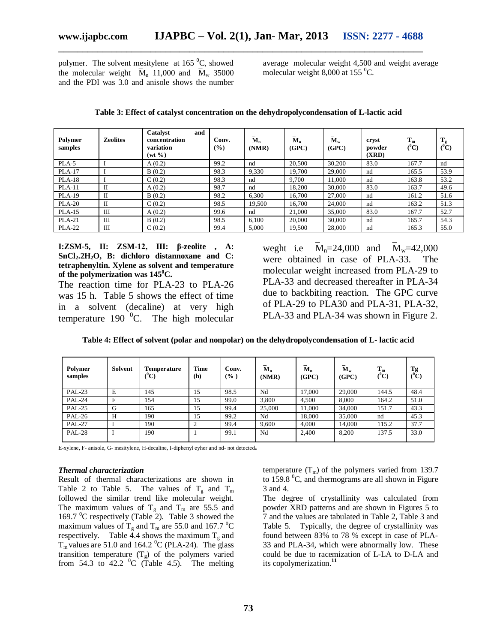polymer. The solvent mesitylene at  $165\,^0C$ , showed the molecular weight  $\overline{M}_n$  11,000 and  $\overline{M}_w$  35000 and the PDI was 3.0 and anisole shows the number average molecular weight 4,500 and weight average molecular weight 8,000 at 155 $\mathrm{^{0}C}$ .

| Polymer<br>samples | <b>Zeolites</b> | <b>Catalyst</b><br>and<br>concentration<br>variation<br>$(wt \, \%)$ | Conv.<br>$($ %) | $\overline{\mathbf{M}}_{n}$<br>(NMR) | $\mathbf{\bar{M}}_{n}$<br>(GPC) | $\mathbf{\overline{M}_{w}}$<br>(GPC) | cryst<br>powder<br>(XRD) | $T_m$<br>$(^0\mathrm{C})$ | m<br>$\mathbf{I}_{g}$<br>$(^0\mathrm{C})$ |
|--------------------|-----------------|----------------------------------------------------------------------|-----------------|--------------------------------------|---------------------------------|--------------------------------------|--------------------------|---------------------------|-------------------------------------------|
| PLA-5              |                 | A(0.2)                                                               | 99.2            | nd                                   | 20,500                          | 30,200                               | 83.0                     | 167.7                     | nd                                        |
| <b>PLA-17</b>      |                 | B(0.2)                                                               | 98.3            | 9,330                                | 19.700                          | 29,000                               | nd                       | 165.5                     | 53.9                                      |
| $PLA-18$           |                 | C(0.2)                                                               | 98.3            | nd                                   | 9.700                           | 11,000                               | nd                       | 163.8                     | 53.2                                      |
| $PLA-11$           | П               | A(0.2)                                                               | 98.7            | nd                                   | 18,200                          | 30,000                               | 83.0                     | 163.7                     | 49.6                                      |
| <b>PLA-19</b>      | $\mathbf{I}$    | B(0.2)                                                               | 98.2            | 6,300                                | 16,700                          | 27,000                               | nd                       | 161.2                     | 51.6                                      |
| <b>PLA-20</b>      | П               | C(0.2)                                                               | 98.5            | 19,500                               | 16.700                          | 24,000                               | nd                       | 163.2                     | 51.3                                      |
| $PLA-15$           | Ш               | A(0.2)                                                               | 99.6            | nd                                   | 21,000                          | 35,000                               | 83.0                     | 167.7                     | 52.7                                      |
| $PLA-21$           | Ш               | B(0.2)                                                               | 98.5            | 6.100                                | 20,000                          | 30,000                               | nd                       | 165.7                     | 54.3                                      |
| <b>PLA-22</b>      | Ш               | C(0.2)                                                               | 99.4            | 5,000                                | 19,500                          | 28,000                               | nd                       | 165.3                     | 55.0                                      |

**Table 3: Effect of catalyst concentration on the dehydropolycondensation of L-lactic acid**

**\_\_\_\_\_\_\_\_\_\_\_\_\_\_\_\_\_\_\_\_\_\_\_\_\_\_\_\_\_\_\_\_\_\_\_\_\_\_\_\_\_\_\_\_\_\_\_\_\_\_\_\_\_\_\_\_\_\_\_\_\_\_\_\_\_\_\_\_\_\_\_\_\_\_\_**

**I:ZSM-5, II: ZSM-12, III: β-zeolite , A: SnCl2.2H2O, B: dichloro distannoxane and C: tetraphenyltin. Xylene as solvent and temperature of the polymerization was 145<sup>0</sup>C.**

The reaction time for PLA-23 to PLA-26 was 15 h. Table 5 shows the effect of time in a solvent (decaline) at very high temperature 190 $^{0}$ C. The high molecular weght i.e  $M_n = 24,000$  and  $M_w = 42,000$ were obtained in case of PLA-33. The molecular weight increased from PLA-29 to PLA-33 and decreased thereafter in PLA-34 due to backbiting reaction. The GPC curve of PLA-29 to PLA30 and PLA-31, PLA-32, PLA-33 and PLA-34 was shown in Figure 2.

|  |  |  | Table 4: Effect of solvent (polar and nonpolar) on the dehydropolycondensation of L- lactic acid |
|--|--|--|--------------------------------------------------------------------------------------------------|
|--|--|--|--------------------------------------------------------------------------------------------------|

| Polymer<br>samples | Solvent | <b>Temperature</b><br>$(^0\mathrm{C})$ | <b>Time</b><br>(h) | Conv.<br>$(\% )$ | $M_n$<br>(NMR) | $M_n$<br>(GPC) | $M_{w}$<br>(GPC) | $T_m$<br>$(^0C)$ | Tg<br>$(^0\mathrm{C})$ |
|--------------------|---------|----------------------------------------|--------------------|------------------|----------------|----------------|------------------|------------------|------------------------|
| <b>PAL-23</b>      | Е       | 145                                    | 15                 | 98.5             | Nd             | 17,000         | 29,000           | 144.5            | 48.4                   |
| <b>PAL-24</b>      | F       | 154                                    | 15                 | 99.0             | 3.800          | 4.500          | 8.000            | 164.2            | 51.0                   |
| <b>PAL-25</b>      | G       | 165                                    | 15                 | 99.4             | 25,000         | 11,000         | 34,000           | 151.7            | 43.3                   |
| <b>PAL-26</b>      | Н       | 190                                    | 15                 | 99.2             | Nd             | 18,000         | 35,000           | nd               | 45.3                   |
| <b>PAL-27</b>      |         | 190                                    |                    | 99.4             | 9,600          | 4,000          | 14.000           | 115.2            | 37.7                   |
| <b>PAL-28</b>      |         | 190                                    |                    | 99.1             | Nd             | 2.400          | 8,200            | 137.5            | 33.0                   |

E-xylene, F- anisole, G- mesitylene, H-decaline, I-diphenyl eyher and nd- not detected**.**

#### *Thermal characterization*

Result of thermal characterizations are shown in Table 2 to Table 5. The values of  $T_g$  and  $T_m$ followed the similar trend like molecular weight. The maximum values of  $T_g$  and  $T_m$  are 55.5 and 169.7  $\mathrm{^{0}C}$  respectively (Table 2). Table 3 showed the maximum values of  $T_g$  and  $T_m$  are 55.0 and 167.7 <sup>o</sup>C respectively. Table  $\tilde{4}$ .4 shows the maximum T<sub>s</sub> and  $T_m$  values are 51.0 and 164.2 <sup>0</sup>C (PLA-24). The glass transition temperature  $(T<sub>g</sub>)$  of the polymers varied from 54.3 to 42.2  $\mathrm{^0C}$  (Table 4.5). The melting temperature  $(T_m)$  of the polymers varied from 139.7 to 159.8  $\mathrm{^0C}$ , and thermograms are all shown in Figure 3 and 4.

The degree of crystallinity was calculated from powder XRD patterns and are shown in Figures 5 to 7 and the values are tabulated in Table 2, Table 3 and Table 5. Typically, the degree of crystallinity was found between 83% to 78 % except in case of PLA-33 and PLA-34, which were abnormally low. These could be due to racemization of L-LA to D-LA and its copolymerization.**<sup>11</sup>**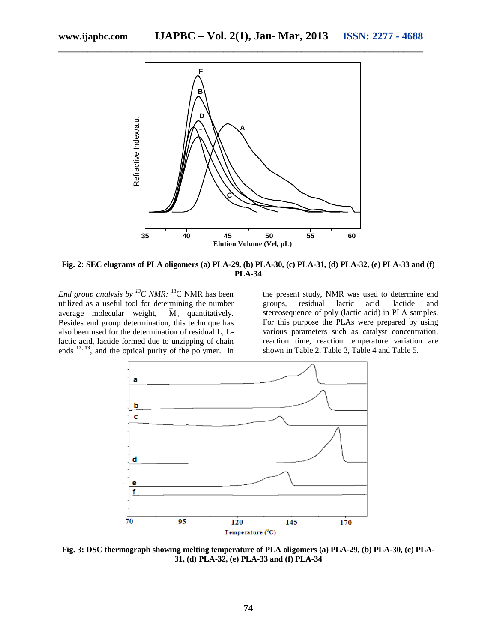

**Fig. 2: SEC elugrams of PLA oligomers (a) PLA-29, (b) PLA-30, (c) PLA-31, (d) PLA-32, (e) PLA-33 and (f) PLA-34**

*End group analysis by <sup>13</sup>C NMR:* <sup>13</sup>C NMR has been utilized as a useful tool for determining the number average molecular weight,  $\overline{M}_n$  quantitatively. Besides end group determination, this technique has also been used for the determination of residual L, Llactic acid, lactide formed due to unzipping of chain ends **12, <sup>13</sup>** , and the optical purity of the polymer. In

the present study, NMR was used to determine end groups, residual lactic acid, lactide and stereosequence of poly (lactic acid) in PLA samples. For this purpose the PLAs were prepared by using various parameters such as catalyst concentration, reaction time, reaction temperature variation are shown in Table 2, Table 3, Table 4 and Table 5.



**Fig. 3: DSC thermograph showing melting temperature of PLA oligomers (a) PLA-29, (b) PLA-30, (c) PLA-31, (d) PLA-32, (e) PLA-33 and (f) PLA-34**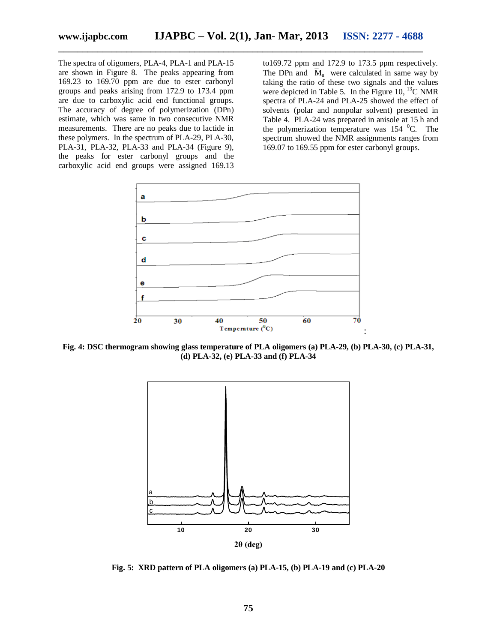The spectra of oligomers, PLA-4, PLA-1 and PLA-15 are shown in Figure 8. The peaks appearing from 169.23 to 169.70 ppm are due to ester carbonyl groups and peaks arising from 172.9 to 173.4 ppm are due to carboxylic acid end functional groups. The accuracy of degree of polymerization (DPn) estimate, which was same in two consecutive NMR measurements. There are no peaks due to lactide in these polymers. In the spectrum of PLA-29, PLA-30, PLA-31, PLA-32, PLA-33 and PLA-34 (Figure 9), the peaks for ester carbonyl groups and the carboxylic acid end groups were assigned 169.13

to169.72 ppm and 172.9 to 173.5 ppm respectively. The DPn and  $\overline{M}_n$  were calculated in same way by taking the ratio of these two signals and the values were depicted in Table 5. In the Figure 10,  $^{13}$ C NMR spectra of PLA-24 and PLA-25 showed the effect of solvents (polar and nonpolar solvent) presented in Table 4. PLA-24 was prepared in anisole at 15 h and the polymerization temperature was  $154 \text{ }^{\circ}$ C. The spectrum showed the NMR assignments ranges from 169.07 to 169.55 ppm for ester carbonyl groups.



**Fig. 4: DSC thermogram showing glass temperature of PLA oligomers (a) PLA-29, (b) PLA-30, (c) PLA-31, (d) PLA-32, (e) PLA-33 and (f) PLA-34**



**Fig. 5: XRD pattern of PLA oligomers (a) PLA-15, (b) PLA-19 and (c) PLA-20**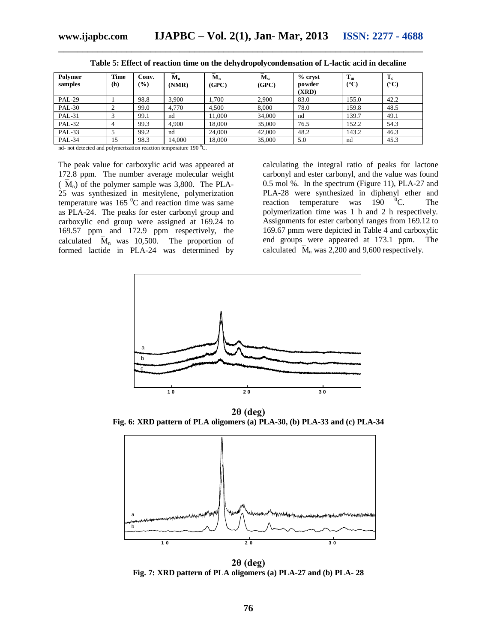| Polymer<br>samples | <b>Time</b><br>(h) | Conv.<br>(%) | $M_n$<br>(NMR) | $M_n$<br>(GPC) | $M_{w}$<br>(GPC) | % cryst<br>powder<br>(XRD) | $T_m$<br>$(^{\circ}C)$ | $T_c$<br>$({}^{\circ}C)$ |
|--------------------|--------------------|--------------|----------------|----------------|------------------|----------------------------|------------------------|--------------------------|
| <b>PAL-29</b>      |                    | 98.8         | 3.900          | .700           | 2.900            | 83.0                       | 155.0                  | 42.2                     |
| <b>PAL-30</b>      |                    | 99.0         | 4.770          | 4.500          | 8.000            | 78.0                       | 159.8                  | 48.5                     |
| <b>PAL-31</b>      |                    | 99.1         | nd             | 11,000         | 34,000           | nd                         | 139.7                  | 49.1                     |
| <b>PAL-32</b>      |                    | 99.3         | 4.900          | 18.000         | 35,000           | 76.5                       | 152.2                  | 54.3                     |
| <b>PAL-33</b>      |                    | 99.2         | nd             | 24,000         | 42,000           | 48.2                       | 143.2                  | 46.3                     |
| <b>PAL-34</b>      | 15                 | 98.3         | 14,000         | 18.000         | 35,000           | 5.0                        | nd                     | 45.3                     |

**Table 5: Effect of reaction time on the dehydropolycondensation of L-lactic acid in decaline**

nd- not detected and polymerization reaction temperature 190 °C.

The peak value for carboxylic acid was appeared at 172.8 ppm. The number average molecular weight  $(\overline{M}_n)$  of the polymer sample was 3,800. The PLA-25 was synthesized in mesitylene, polymerization temperature was  $165<sup>0</sup>C$  and reaction time was same as PLA-24. The peaks for ester carbonyl group and carboxylic end group were assigned at 169.24 to 169.57 ppm and 172.9 ppm respectively, the calculated  $\overline{M}_n$  was 10,500. The proportion of formed lactide in PLA-24 was determined by

calculating the integral ratio of peaks for lactone carbonyl and ester carbonyl, and the value was found 0.5 mol %. In the spectrum (Figure 11), PLA-27 and PLA-28 were synthesized in diphenyl ether and reaction temperature was  $190 \, \text{°C}$ . The polymerization time was 1 h and 2 h respectively. Assignments for ester carbonyl ranges from 169.12 to 169.67 pmm were depicted in Table 4 and carboxylic end groups were appeared at 173.1 ppm. The calculated  $\overline{M}_n$  was 2,200 and 9,600 respectively.



**2θ (deg) Fig. 6: XRD pattern of PLA oligomers (a) PLA-30, (b) PLA-33 and (c) PLA-34**



**2θ (deg) Fig. 7: XRD pattern of PLA oligomers (a) PLA-27 and (b) PLA- 28**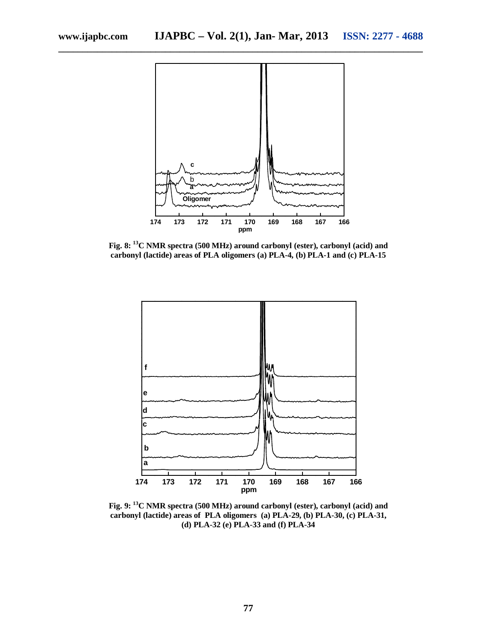

**Fig. 8: <sup>13</sup>C NMR spectra (500 MHz) around carbonyl (ester), carbonyl (acid) and carbonyl (lactide) areas of PLA oligomers (a) PLA-4, (b) PLA-1 and (c) PLA-15**



**Fig. 9: <sup>13</sup>C NMR spectra (500 MHz) around carbonyl (ester), carbonyl (acid) and carbonyl (lactide) areas of PLA oligomers (a) PLA-29, (b) PLA-30, (c) PLA-31, (d) PLA-32 (e) PLA-33 and (f) PLA-34**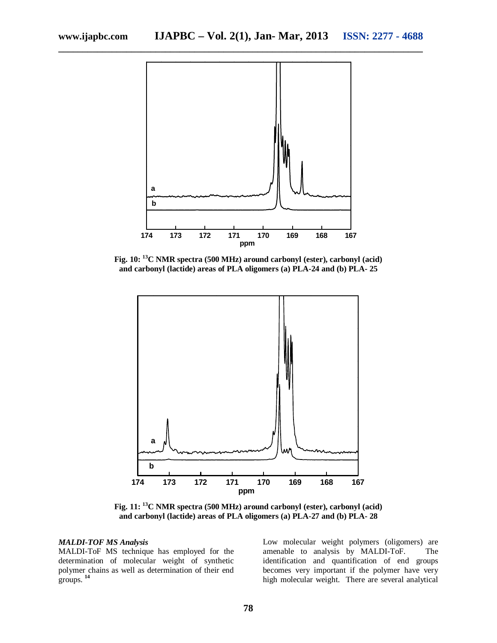

**Fig. 10: <sup>13</sup>C NMR spectra (500 MHz) around carbonyl (ester), carbonyl (acid) and carbonyl (lactide) areas of PLA oligomers (a) PLA-24 and (b) PLA- 25**



**Fig. 11: <sup>13</sup>C NMR spectra (500 MHz) around carbonyl (ester), carbonyl (acid) and carbonyl (lactide) areas of PLA oligomers (a) PLA-27 and (b) PLA- 28**

#### *MALDI-TOF MS Analysis*

MALDI-ToF MS technique has employed for the determination of molecular weight of synthetic polymer chains as well as determination of their end groups. **<sup>14</sup>**

Low molecular weight polymers (oligomers) are amenable to analysis by MALDI-ToF. The identification and quantification of end groups becomes very important if the polymer have very high molecular weight. There are several analytical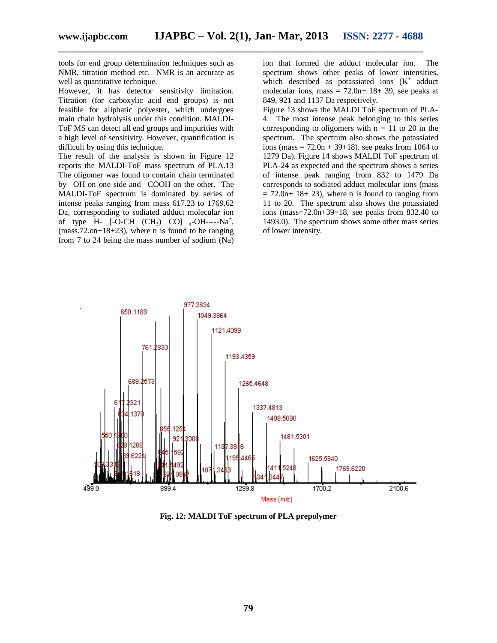tools for end group determination techniques such as NMR, titration method etc. NMR is an accurate as well as quantitative technique.

However, it has detector sensitivity limitation. Titration (for carboxylic acid end groups) is not feasible for aliphatic polyester, which undergoes main chain hydrolysis under this condition. MALDI-ToF MS can detect all end groups and impurities with a high level of sensitivity. However, quantification is difficult by using this technique.

The result of the analysis is shown in Figure 12 reports the MALDI-ToF mass spectrum of PLA.13 The oligomer was found to contain chain terminated by –OH on one side and –COOH on the other. The MALDI-ToF spectrum is dominated by series of intense peaks ranging from mass 617.23 to 1769.62 Da, corresponding to sodiated adduct molecular ion of type  $H$ - [-O-CH (CH<sub>3</sub>) CO] <sub>n</sub>-OH-----Na<sup>+</sup>,  $(mass.72.$ on+18+23), where n is found to be ranging from 7 to 24 being the mass number of sodium (Na)

ion that formed the adduct molecular ion. The spectrum shows other peaks of lower intensities, which described as potassiated ions  $(K^+$  adduct molecular ions, mass  $= 72.0n+ 18+ 39$ , see peaks at 849, 921 and 1137 Da respectively.

Figure 13 shows the MALDI ToF spectrum of PLA-4. The most intense peak belonging to this series corresponding to oligomers with  $n = 11$  to 20 in the spectrum. The spectrum also shows the potassiated ions (mass =  $72.0n + 39+18$ ). see peaks from 1064 to 1279 Da). Figure 14 shows MALDI ToF spectrum of PLA-24 as expected and the spectrum shows a series of intense peak ranging from 832 to 1479 Da corresponds to sodiated adduct molecular ions (mass  $= 72.0n+ 18+ 23$ , where n is found to ranging from 11 to 20. The spectrum also shows the potassiated ions (mass= $72.0n+39=18$ , see peaks from 832.40 to 1493.0). The spectrum shows some other mass series of lower intensity.



**Fig. 12: MALDI ToF spectrum of PLA prepolymer**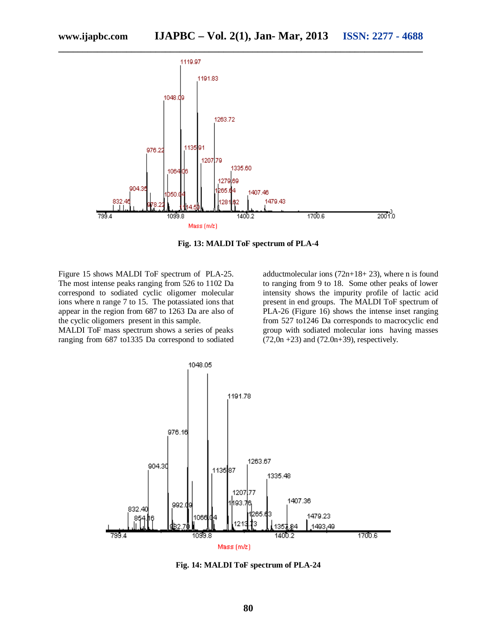

**Fig. 13: MALDI ToF spectrum of PLA-4**

Figure 15 shows MALDI ToF spectrum of PLA-25. The most intense peaks ranging from 526 to 1102 Da correspond to sodiated cyclic oligomer molecular ions where n range 7 to 15. The potassiated ions that appear in the region from 687 to 1263 Da are also of the cyclic oligomers present in this sample.

MALDI ToF mass spectrum shows a series of peaks ranging from 687 to1335 Da correspond to sodiated

adductmolecular ions  $(72n+18+23)$ , where n is found to ranging from 9 to 18. Some other peaks of lower intensity shows the impurity profile of lactic acid present in end groups. The MALDI ToF spectrum of PLA-26 (Figure 16) shows the intense inset ranging from 527 to1246 Da corresponds to macrocyclic end group with sodiated molecular ions having masses  $(72,0n + 23)$  and  $(72.0n + 39)$ , respectively.



**Fig. 14: MALDI ToF spectrum of PLA-24**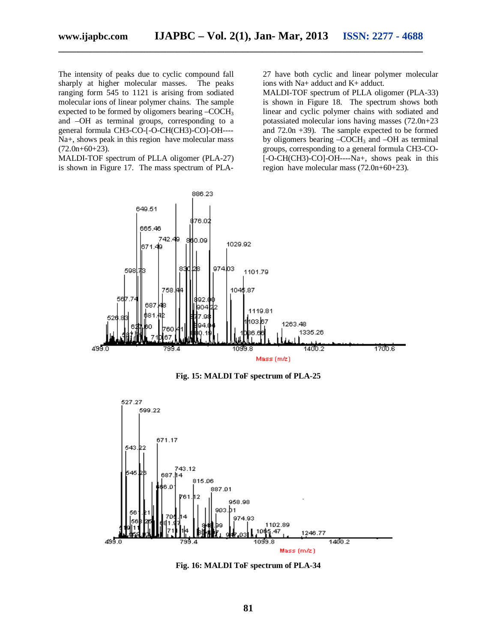The intensity of peaks due to cyclic compound fall sharply at higher molecular masses. The peaks ranging form 545 to 1121 is arising from sodiated molecular ions of linear polymer chains. The sample expected to be formed by oligomers bearing –COCH<sub>3</sub> and –OH as terminal groups, corresponding to a general formula CH3-CO-[-O-CH(CH3)-CO]-OH---- Na+, shows peak in this region have molecular mass  $(72.0n+60+23)$ .

MALDI-TOF spectrum of PLLA oligomer (PLA-27) is shown in Figure 17. The mass spectrum of PLA- 27 have both cyclic and linear polymer molecular ions with Na+ adduct and K+ adduct.

MALDI-TOF spectrum of PLLA oligomer (PLA-33) is shown in Figure 18. The spectrum shows both linear and cyclic polymer chains with sodiated and potassiated molecular ions having masses (72.0n+23 and 72.0n +39). The sample expected to be formed by oligomers bearing  $-COCH<sub>3</sub>$  and  $-OH$  as terminal groups, corresponding to a general formula CH3-CO- [-O-CH(CH3)-CO]-OH----Na+, shows peak in this region have molecular mass (72.0n+60+23).



**Fig. 15: MALDI ToF spectrum of PLA-25**



**Fig. 16: MALDI ToF spectrum of PLA-34**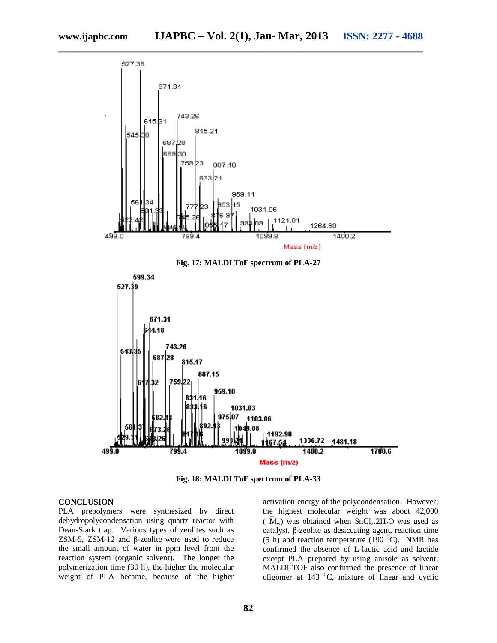

**Fig. 18: MALDI ToF spectrum of PLA-33**

#### **CONCLUSION**

PLA prepolymers were synthesized by direct dehydropolycondensation using quartz reactor with Dean-Stark trap. Various types of zeolites such as ZSM-5, ZSM-12 and β-zeolite were used to reduce the small amount of water in ppm level from the reaction system (organic solvent). The longer the polymerization time (30 h), the higher the molecular weight of PLA became, because of the higher

activation energy of the polycondensation. However, the highest molecular weight was about 42,000  $(\overline{M}_{w})$  was obtained when SnCl<sub>2</sub>.2H<sub>2</sub>O was used as catalyst, β-zeolite as desiccating agent, reaction time (5 h) and reaction temperature (190 $^0$ C). NMR has confirmed the absence of L-lactic acid and lactide except PLA prepared by using anisole as solvent. MALDI-TOF also confirmed the presence of linear oligomer at  $143 \text{ °C}$ , mixture of linear and cyclic